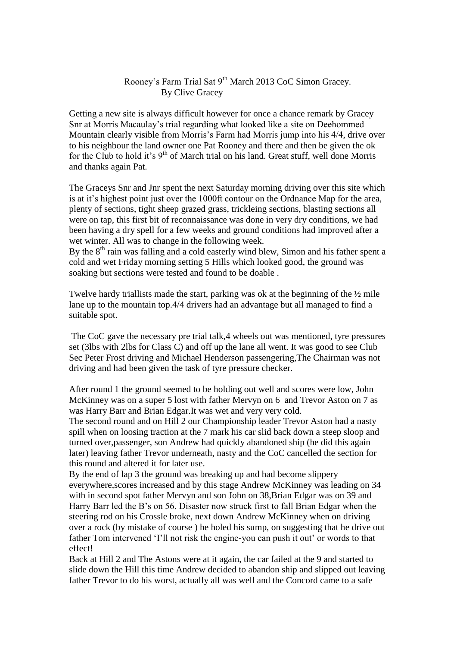## Rooney's Farm Trial Sat 9<sup>th</sup> March 2013 CoC Simon Gracey. By Clive Gracey

Getting a new site is always difficult however for once a chance remark by Gracey Snr at Morris Macaulay's trial regarding what looked like a site on Deehommed Mountain clearly visible from Morris's Farm had Morris jump into his 4/4, drive over to his neighbour the land owner one Pat Rooney and there and then be given the ok for the Club to hold it's  $9<sup>th</sup>$  of March trial on his land. Great stuff, well done Morris and thanks again Pat.

The Graceys Snr and Jnr spent the next Saturday morning driving over this site which is at it's highest point just over the 1000ft contour on the Ordnance Map for the area, plenty of sections, tight sheep grazed grass, trickleing sections, blasting sections all were on tap, this first bit of reconnaissance was done in very dry conditions, we had been having a dry spell for a few weeks and ground conditions had improved after a wet winter. All was to change in the following week.

By the 8<sup>th</sup> rain was falling and a cold easterly wind blew, Simon and his father spent a cold and wet Friday morning setting 5 Hills which looked good, the ground was soaking but sections were tested and found to be doable .

Twelve hardy triallists made the start, parking was ok at the beginning of the ½ mile lane up to the mountain top.4/4 drivers had an advantage but all managed to find a suitable spot.

The CoC gave the necessary pre trial talk,4 wheels out was mentioned, tyre pressures set (3lbs with 2lbs for Class C) and off up the lane all went. It was good to see Club Sec Peter Frost driving and Michael Henderson passengering,The Chairman was not driving and had been given the task of tyre pressure checker.

After round 1 the ground seemed to be holding out well and scores were low, John McKinney was on a super 5 lost with father Mervyn on 6 and Trevor Aston on 7 as was Harry Barr and Brian Edgar.It was wet and very very cold.

The second round and on Hill 2 our Championship leader Trevor Aston had a nasty spill when on loosing traction at the 7 mark his car slid back down a steep sloop and turned over,passenger, son Andrew had quickly abandoned ship (he did this again later) leaving father Trevor underneath, nasty and the CoC cancelled the section for this round and altered it for later use.

By the end of lap 3 the ground was breaking up and had become slippery everywhere,scores increased and by this stage Andrew McKinney was leading on 34 with in second spot father Mervyn and son John on 38.Brian Edgar was on 39 and Harry Barr led the B's on 56. Disaster now struck first to fall Brian Edgar when the steering rod on his Crossle broke, next down Andrew McKinney when on driving over a rock (by mistake of course ) he holed his sump, on suggesting that he drive out father Tom intervened 'I'll not risk the engine-you can push it out' or words to that effect!

Back at Hill 2 and The Astons were at it again, the car failed at the 9 and started to slide down the Hill this time Andrew decided to abandon ship and slipped out leaving father Trevor to do his worst, actually all was well and the Concord came to a safe